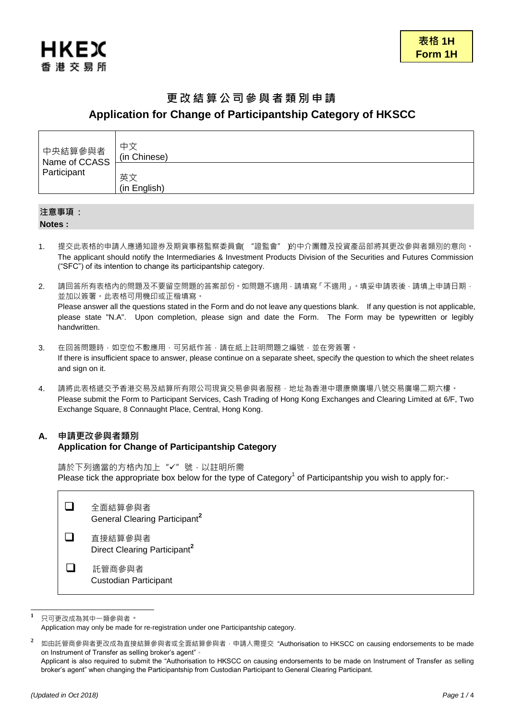

# 更改結算公司參與者類別申請 **Application for Change of Participantship Category of HKSCC**

| 中央結算參與者<br>Name of CCASS<br>Participant | 中文<br>(in Chinese) |
|-----------------------------------------|--------------------|
|                                         | 英文<br>(in English) |

# 注意事項 :

**Notes :**

- 1. 提交此表格的申請人應通知證券及期貨事務監察委員會("證監會")的中介團體及投資產品部將其更改參與者類別的意向。 The applicant should notify the Intermediaries & Investment Products Division of the Securities and Futures Commission ("SFC") of its intention to change its participantship category.
- 2. 請回答所有表格內的問題及不要留空問題的答案部份。如問題不適用,請填寫「不適用」。填妥申請表後,請填上申請日期, 並加以簽署。此表格可用機印或正楷填寫。 Please answer all the questions stated in the Form and do not leave any questions blank. If any question is not applicable, please state "N.A". Upon completion, please sign and date the Form. The Form may be typewritten or legibly handwritten.
- 3. 在回答問題時,如空位不敷應用,可另紙作答,請在紙上註明問題之編號,並在旁簽署。 If there is insufficient space to answer, please continue on a separate sheet, specify the question to which the sheet relates and sign on it.
- 4. 請將此表格遞交予香港交易及結算所有限公司現貨交易參與者服務,地址為香港中環康樂廣場八號交易廣場二期六樓。 Please submit the Form to Participant Services, Cash Trading of Hong Kong Exchanges and Clearing Limited at 6/F, Two Exchange Square, 8 Connaught Place, Central, Hong Kong.

## **A.** 申請更改參與者類別 **Application for Change of Participantship Category**

請於下列適當的方格內加上"√"號,以註明所需 Please tick the appropriate box below for the type of Category<sup>1</sup> of Participantship you wish to apply for:-

|              | 全面結算參與者<br>General Clearing Participant <sup>2</sup> |
|--------------|------------------------------------------------------|
| . .          | 直接結算參與者<br>Direct Clearing Participant <sup>2</sup>  |
| $\mathsf{L}$ | 託管商參與者<br><b>Custodian Participant</b>               |

 $\mathbf{1}$ **<sup>1</sup>** 只可更改成為其中一類參與者。

Application may only be made for re-registration under one Participantship category.

**<sup>2</sup>** 如由託管商參與者更改成為直接結算參與者或全面結算參與者,申請人需提交 "Authorisation to HKSCC on causing endorsements to be made on Instrument of Transfer as selling broker's agent"。

Applicant is also required to submit the "Authorisation to HKSCC on causing endorsements to be made on Instrument of Transfer as selling broker's agent" when changing the Participantship from Custodian Participant to General Clearing Participant.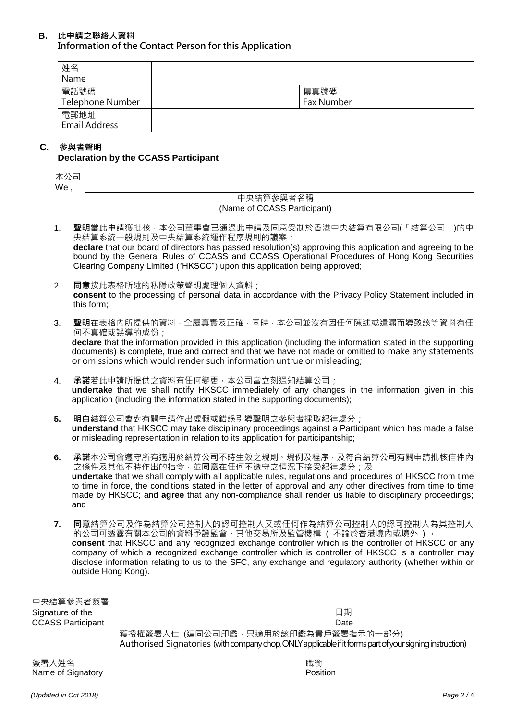## **B.** 此申請之聯絡人資料 Information of the Contact Person for this Application

| 姓名<br>Name                   |                    |  |
|------------------------------|--------------------|--|
| 電話號碼<br>Telephone Number     | 傳真號碼<br>Fax Number |  |
| 電郵地址<br><b>Email Address</b> |                    |  |

## **C.** 參與者聲明 **Declaration by the CCASS Participant**

| 히<br>$\gamma$ |  |
|---------------|--|
| We            |  |

## 中央結算參與者名稱 (Name of CCASS Participant)

- 1. 聲明當此申請獲批核,本公司董事會已通過此申請及同意受制於香港中央結算有限公司(「結算公司」)的中 央結算系統一般規則及中央結算系統運作程序規則的議案; **declare** that our board of directors has passed resolution(s) approving this application and agreeing to be bound by the General Rules of CCASS and CCASS Operational Procedures of Hong Kong Securities Clearing Company Limited ("HKSCC") upon this application being approved;
- 2. 同意按此表格所述的私隱政策聲明處理個人資料; **consent** to the processing of personal data in accordance with the Privacy Policy Statement included in this form;
- 3. 聲明在表格內所提供的資料,全屬真實及正確,同時,本公司並沒有因任何陳述或遺漏而導致該等資料有任 何不真確或誤導的成份;

**declare** that the information provided in this application (including the information stated in the supporting documents) is complete, true and correct and that we have not made or omitted to make any statements or omissions which would render such information untrue or misleading;

- 4. 承諾若此申請所提供之資料有任何變更,本公司當立刻通知結算公司; **undertake** that we shall notify HKSCC immediately of any changes in the information given in this application (including the information stated in the supporting documents);
- **5.** 明白結算公司會對有關申請作出虛假或錯誤引導聲明之參與者採取紀律處分; **understand** that HKSCC may take disciplinary proceedings against a Participant which has made a false or misleading representation in relation to its application for participantship;
- **6.** 承諾本公司會遵守所有適用於結算公司不時生效之規則、規例及程序,及符合結算公司有關申請批核信件內 之條件及其他不時作出的指令,並同意在任何不遵守之情況下接受紀律處分;及 **undertake** that we shall comply with all applicable rules, regulations and procedures of HKSCC from time to time in force, the conditions stated in the letter of approval and any other directives from time to time made by HKSCC; and **agree** that any non-compliance shall render us liable to disciplinary proceedings; and
- **7.** 同意結算公司及作為結算公司控制人的認可控制人又或任何作為結算公司控制人的認可控制人為其控制人 的公司可透露有關本公司的資料予證監會、其他交易所及監管機構 ( 不論於香港境內或境外 ) 。 **consent** that HKSCC and any recognized exchange controller which is the controller of HKSCC or any company of which a recognized exchange controller which is controller of HKSCC is a controller may disclose information relating to us to the SFC, any exchange and regulatory authority (whether within or outside Hong Kong).

| 中央結算參與者簽署                  |                                                                                                                                                 |
|----------------------------|-------------------------------------------------------------------------------------------------------------------------------------------------|
| Signature of the           | 日期                                                                                                                                              |
| <b>CCASS Participant</b>   | Date                                                                                                                                            |
|                            | 獲授權簽署人仕 (連同公司印鑑,只適用於該印鑑為貴戶簽署指示的一部分)<br>Authorised Signatories (with company chop, ONLY applicable if it forms part of your signing instruction) |
| 簽署人姓名<br>Name of Signatory | 職銜<br>Position                                                                                                                                  |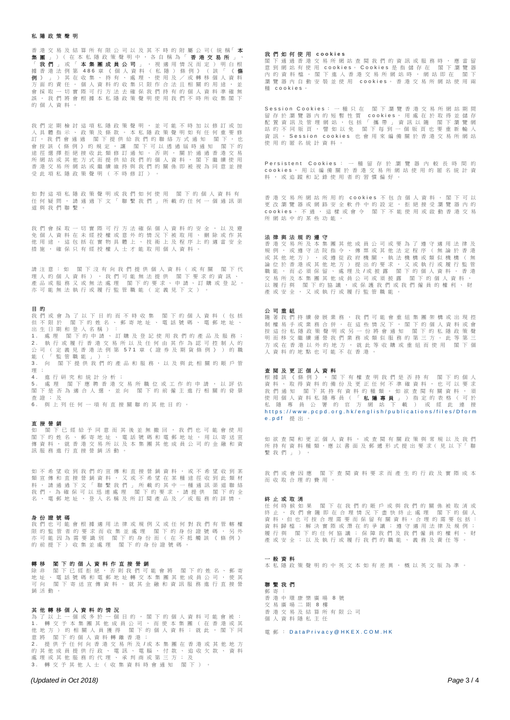## 私隱政策聲明

香 港 交 易 及 結 算 所 有 限 公 司 以 及 其 不 時 的 附 屬 公 司( 統 稱「 本 **集 團 」**)( 在 本 私 隱 政 策 聲 明 中 , 各 自 稱 為「 **香 港 交 易 所**<br>「 **我 們 」** 或 「 **本 集 團 成 員 公 司** 」 ・ 視 適 用 情 況 而 定 ) 明 」 「 **我 們** 」 或 「 **本 集 團 成 員 公 司** 」 , 視 適 用 情 況 而 定 ) 明 白 根<br>據 香 港 法 例 第 486 章 《 個 人 資 料 ( 私 隱 ) 條 例 》 ( 該 「 **《 條** 例 》」)其在收集、持有、處理、使用及/或轉移個人資料 方面的責任。個人資料的收集只限作合法且相關的用途,並 會採取一切實際可行方法去確保我們持有的個人資料準確無 誤 。 我 們 將 會 根 據 本 私 隱 政 策 聲 明 使 用 我 們 不 時 所 收 集 閣 下 的個人資料。

我 們 定 期 檢 討 這 項 私 隱 政 策 聲 明 , 並 可 能 不 時 加 以 修 訂 或 加<br>入 具 體 指 示 、 政 策 及 條 款 。 本 私 隱 政 策 聲 明 如 有 任 何 重 要 修 、<br>. 訂 , 我 們 會 通 過 閣 下 提 供 給 我 們 的 聯 絡 方 式 通 知 閣 下 , 也<br>會 按 該 《 條 例 》 的 規 定 , 讓 閣 下 可 以 透 過 屆 時 通 知 閣 下 的 會 按 該 《 條 例 》 的 規 定 , 讓 閣下可以透過屆時通知 閣下的 途 徑 選 擇 拒 絕 接 收 此 類 修 訂 通 知 。 否 則 , 關 於 通 過 香 港 交 易 所 網 站 或 其 他 方 式 而 提 供 給 我 們 的 個 人 資 料 , 閣 下 繼 鑟 使 用 香港交易所網站或繼續維持與我們的關係即被視為同意並接 受此項私隱政策聲明(不時修訂)。

如對這項私隱政策聲明或我們如何使用 閣下的個人資料有 任 何 疑 問 , 請 通 過 下 文 「 聯 繫 我 們 」 所 載 的 任 何 一 個 通 訊 渠 道與我們聯繫。

我 們 會 採 取 一 切 實 際 可 行 方 法 確 保 個 人 資 料 的 安 全 , 以 及 避<br>免 個 人 資 料 在 未 經 授 權 或 意 外 的 情 況 下 被 取 用 、 刪 除 或 作 其 他用途。這包括在實物具體上、技術上及程序上的適當安全 措施, 確保只有經授權人士才能取用個人資料

請 注 意 : 如 閣 下 沒 有 向 我 們 提 供 個 人 資 料 ( 或 有 關 閣 下 代 理人的個人資料),我們可能無法提供 閣下要求的資訊、 產 品 或 服 務 又 或 無 法 處 理 閣 下 的 要 求 、 申 請 、 訂 購 或 登 記 , 亦可能無法執行或履行監管職能(定義見下文)

## 目 的

我 們 或 會 為 了 以 下 目 的 而 不 時 收 集 閣 下 的 個 人 資 料 ( 包 括 但 不 限 於 閣 下 的 姓 名 、 郵 寄 地 址 、 電 話 號 碼 、 電 郵 地 址 、 出生日期和登入名稱): 1. 處 理 閣下的申請、訂購及登記使用我們的產品及服務 2 . 執 行 或 履 行 香 港 交 易 所 以 及 任 何 由 其 作 為 認 可 控 制 人 的 公 司 ( 定 義 見 香 港法例第 571 章 《 證 券 及 期 貨 條 例 》 ) 的 職 能(「監管職能」); 3. 向 閣下提供我們的產品和服務,以及與此相關的賬戶管 理 ;

4 . 進行研究和統計分析; 5 . 處 理 閣 下 應 聘 香 港 交 易 所 職 位 或 工 作 的 申 請 , 以 評 估 閣 下 是 否 為 適 合 人 選 , 並 向 閣 下 的 前 僱 主 進 行 相 關 的 背 景 查證;及

6 . 與上列任何一項有直接關聯的其他目的。

### 直接營銷

如 閣 下 已 經 給 予 同 意 而 其 後 並 無 撤 回 , 我 們 也 可 能 會 使 用 閣 下 的 姓 名 、 郵 寄 地 址 、 電 話 號 碼 和 電 郵 地 址 , 用 以 寄 送 宣 傳 資 料 , 就 香 港 交 易 所 以 及 本 集 團 其 他 成 員 公 司 的 金 融 和 資 訊服務進行直接營銷活動

如 不 希 望 收 到 我 們 的 宣 傳 和 直 接 營 銷 資 料 , 或 不 希 望 收 到 某 類 宣 傳 和 直 接 營 銷 資 料 , 又 或 不 希 望 在 某 種 途 徑 收 到 此 類 材 、料、請 通 過 下 文 「 聯 繫 我 們 」 所 載 的 其 中 一 種 通 訊 渠 道 聯 絡<br>我 們 。 為 確 保 可 以 迅 速 處 理 閣 下 的 要 求 , 請 提 供 閣 下 的 全 **图 下 的 要 求 , 請 提 供 閣 下 的 全** 名、電郵地址、登入名稱及所訂閱產品及/或服務的詳情。

## 身份證號碼

我 們 也 可 能 會 根 據 適 用 法 律 或 規 例 又 或 任 何 對 我 們 有 管 轄 權 限 的 監 管 者 的 要 求 而 收 集 並 處 理 閣 下 的 身 份 證 號 碼 , 另 外 **你写一直是我的人,我就是这些一品,我为份监统场**。为外 的前提下)收集並處理 閣下的身份證號碼。

### 轉移 閣下的個人資料作直接營銷

除 非 閣 下 已 經 拒 絕 , 否 則 我 們 可 能 會 將 閣 下 的 姓 名 、 郵 寄 地 址 、 電 話 號 碼 和 電 郵 地 址 轉 交 本 集 團 其 他 成 員 公 司 , 使 其 可 向 閣 下 寄 送 宣 傳 資 料 , 就 其 金 融 和 資 訊 服 務 進 行 直 接 營 銷活動。

#### 其他轉移個人資料的情況

為 了 以 上 一 個 或 多 於 一 個 目 的 , 閣 下 的 個 人 資 料 可 能 會 被 :<br>1. 轉 交 予 本 集 團 其 他 成 員 公 司 , 而 使 本 集 團 ( 在 香 港 或 其 他 地 方 ) 的 相 關 人 員 獲 得 閣 下 的 個 人 資 料 ; 就 此 , 閣 下 同 意 將 閣 下 的 個 人 資 料 轉 離 香 港 ;<br>2 . 提 供 予 任 何 向 香 港 交 易 所 及 /或 本 集 團 在 香 港 或 其 他 地 方 的 其 他 成 員 提 供 行 政 、 電 訊 、 電 腦 、 付 款 、 追 收 欠 款 、 資 料 處 理 或 其 他 服 務 的 代 理 、 承 判 商 或 第 三 方 ; 及 3. 轉交予其他人士(收集資料時會通知 閣下)

## *(Updated in Oct 2018) Page* 3 / 4

### 我們如何使用 **c o o k i e s**

閣 下 通 過 香 港 交 易 所 網 站 查 閱 我 們 的 資 訊 或 服 務 時 , 應 當 留 意 到 網 站 有 使 用 cookies 。 Cookies 是 指 儲 存 在 閣 下 瀏 覽 器 內 的 資 料 檔 。 閣 下 進 入 香 港 交 易 所 網 站 時 , 網 站 即 在 閣 下 瀏 覽 器 內 自 動 安 裝 並 使 用 c o o k i e s 。 香 港 交 易 所 網 站 使 用 兩 種 c o o k i e s 。

Session Cookies : 一種只在 閣下瀏覽香港交易所網站期間 留 存 於 瀏 覽 器 内 的 短 暫 性 質 cookies, 用 處 在 於 取 得 並 儲 存<br>配 置 資 訊 及 管 理 網 站 , 包 括 「 攜 帶 」 資 訊 以 隨 閣 下 瀏 覽 網 站 的 不 同 版 頁 , 譬 如 以 免 閣 下 每 到 一 個 版 頁 也 要 重 新 輸 入 資訊。 S e s s i o n c o o k i e s 也 會 用 來 編 備 關 於 香 港 交 易 所 網 站 使用的匿名統計資料。

Persistent Cookies : 一 種 留 存 於 瀏 覽 器 內 較 長 時 間 的 cookies , 用 以 編 備 關 於 香 港 交 易 所 網 站 使 用 的 匿 名 統 計 資 料, 或追蹤和記錄使用者的習慣偏好

香港交易所網站所用的 c o o k i e s 不包含個人資料。閣下可以 更 改 瀏 覽 器 或 網 路 安 全 軟 件 中 的 設 定 , 拒 絕 接 受 瀏 覽 器 内 的<br>cookies。 不 過 , 這 樣 或 會 令 閣 下 不 能 使 用 或 啟 動 香 港 交 易 所網站 中的某些功能。

法律與法規的遵守 香港交易所及本集團其他成員公司或要為了遵守適用法律及 規例,或遵守法院指令、傳票或其他法定程序(無論於香港 或其他地方),或遵從政府機關、執法機構或類似機構(無<br>論位於香港或其他地方)提出的要求,又或執行或履行監管 、論位於香港或(地方)提出的要求,<br>論位於香港或其他地方)提出的要求, 而必須保留、處理及/或披露 閣下的個人資料。香港<br>及本集團其他成員公司或須披露 閣下的個人資料, 文易所及本集團其他成員公司或須披露 閣下的個人資料,<br>N 履行與 関下的協議, 或保護我們或我們偏員的擁到、財 以 履 行 與 閣 下 的 協 議 , 或 保 護 我 們 或 我 們 僱 員 的 權 利 、 財<br>產 或 安 全 , 又 或 執 行 或 履 行 監 管 職 能 。

#### 公司重組

隨 著 我 們 持 續 發 展 業 務 , 我 們 可 能 會 重 組 集 團 架 構 或 出 現 控 制權易手或業 務 合 併 。 在 這 些 情 況 下 , 閣 下 的 個 人 資 料 或 會 按 這 份 私 隱 政 策 聲 明 或 另 一 份 將 會 通 知 閣 下 的 私 隱 政 策 聲 明 而 移 交 繼 鑟 運 營 我 們 業 務 或 類 似 服 務 的 第 三 方 。 此 等 第 三 方 或 在 香 港 以 外 的 地 方 , 就 此 等 收 購 或 重 組 而 使 用 閣 下 個 人資料的地點也可能不在香港。

## 查閱及更正個人資料

根 據 該 《 條 例 》 , 閣 下 有 權 查 明 我 們 是 否 持 有 閣 下 的 個 人 資 料 、 取 得 資 料 的 備 份 及 更 正 任 何 不 準 確 資 料 , 也 可 以 要 求 我 們 通 知 閣 下 其 持 有 資 料 的 種 類 。 如 欲 查 閲 有 關 資 料 , 須 使 用 個 人 資 料 私 隱 專 員 ( 「 **私 隱 專 員** 」 ) 指 定 的 表 格 ( 可 於<br>私 隱 專 員 公 署 的 官 方 網 站 下 載 ) 或 經 此 連 接 https://www.pcpd.org.hk/english/publications/files/Dform  $e.$   $p$  d f 提出。

如 欲 查 閱 和 更 正 個 人 資 料 , 或 查 閱 有 關 政 策 與 常 規 以 及 我 們 所 持 有 資 料 種 類, 應 以 書 面 及 郵 遞 形 式 提 出 要 求 ( 見 以 下 「 聯 繫我們」)。

我 們 或 會 因 應 閣 下 查 閱 資 料 要 求 而 產 生 的 行 政 及 實 際 成 本 而收取合理的費用。

## 終止或取消

任 何 時 候 如 果 閣 下 在 我 們 的 賬 戶 或 與 我 們 的 關 係 被 取 消 或<br>終 止 , 我 們 會 隨 即 在 合 理 情 況 下 盡 快 終 止 處 理 閣 下 的 個 人 資 料 ,但 也 可 按 合 理 需 要 而 保 留 有 關 資 料 ,合 理 的 需 要 包 括 : 資 料 歸 檔 ; 解 決 實 際 或 潛 在 的 爭 議 ; 遵 守 適 用 法 律 及 規 例 ; 履行與 閣 下 的 任 何 協 議 ; 保 障 我 們 及 我 們 僱 員 的 權 利 、 財 產或安全;以及執行或履行我們的職能、義務及責任等。

#### 一般資料

本私隱政策聲明的中英文本如有差異,概以英文版為準。

#### 聯繫我們 郵寄:

香港中環康樂廣場 8 號 交易廣場二期 8 樓 香港交易及結算所有限公司 個人資料隱私主任

電郵: [D a t a P r i v a c y @ H K E X . C O M . H K](mailto:DataPrivacy@HKEX.COM.HK)